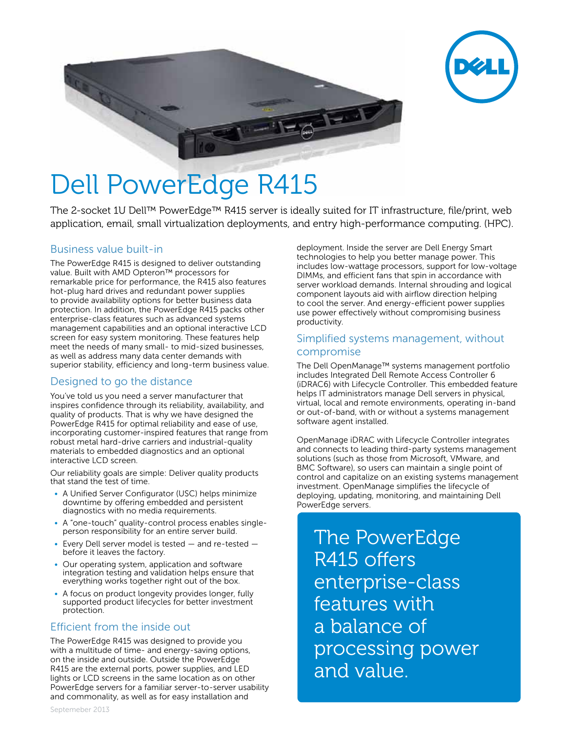



# Dell PowerEdge R415

The 2-socket 1U Dell™ PowerEdge™ R415 server is ideally suited for IT infrastructure, file/print, web application, email, small virtualization deployments, and entry high-performance computing. (HPC).

#### Business value built-in

The PowerEdge R415 is designed to deliver outstanding value. Built with AMD Opteron™ processors for remarkable price for performance, the R415 also features hot-plug hard drives and redundant power supplies to provide availability options for better business data protection. In addition, the PowerEdge R415 packs other enterprise-class features such as advanced systems management capabilities and an optional interactive LCD screen for easy system monitoring. These features help meet the needs of many small- to mid-sized businesses, as well as address many data center demands with superior stability, efficiency and long-term business value.

## Designed to go the distance

You've told us you need a server manufacturer that inspires confidence through its reliability, availability, and quality of products. That is why we have designed the PowerEdge R415 for optimal reliability and ease of use, incorporating customer-inspired features that range from robust metal hard-drive carriers and industrial-quality materials to embedded diagnostics and an optional interactive LCD screen.

Our reliability goals are simple: Deliver quality products that stand the test of time.

- A Unified Server Configurator (USC) helps minimize downtime by offering embedded and persistent diagnostics with no media requirements.
- A "one-touch" quality-control process enables singleperson responsibility for an entire server build.
- Every Dell server model is tested and re-tested before it leaves the factory.
- Our operating system, application and software integration testing and validation helps ensure that everything works together right out of the box.
- A focus on product longevity provides longer, fully supported product lifecycles for better investment protection.

## Efficient from the inside out

The PowerEdge R415 was designed to provide you with a multitude of time- and energy-saving options, on the inside and outside. Outside the PowerEdge R415 are the external ports, power supplies, and LED lights or LCD screens in the same location as on other PowerEdge servers for a familiar server-to-server usability and commonality, as well as for easy installation and

deployment. Inside the server are Dell Energy Smart technologies to help you better manage power. This includes low-wattage processors, support for low-voltage DIMMs, and efficient fans that spin in accordance with server workload demands. Internal shrouding and logical component layouts aid with airflow direction helping to cool the server. And energy-efficient power supplies use power effectively without compromising business productivity.

#### Simplified systems management, without compromise

The Dell OpenManage™ systems management portfolio includes Integrated Dell Remote Access Controller 6 (iDRAC6) with Lifecycle Controller. This embedded feature helps IT administrators manage Dell servers in physical, virtual, local and remote environments, operating in-band or out-of-band, with or without a systems management software agent installed.

OpenManage iDRAC with Lifecycle Controller integrates and connects to leading third-party systems management solutions (such as those from Microsoft, VMware, and BMC Software), so users can maintain a single point of control and capitalize on an existing systems management investment. OpenManage simplifies the lifecycle of deploying, updating, monitoring, and maintaining Dell PowerEdge servers.

The PowerEdge R415 offers enterprise-class features with a balance of processing power and value.